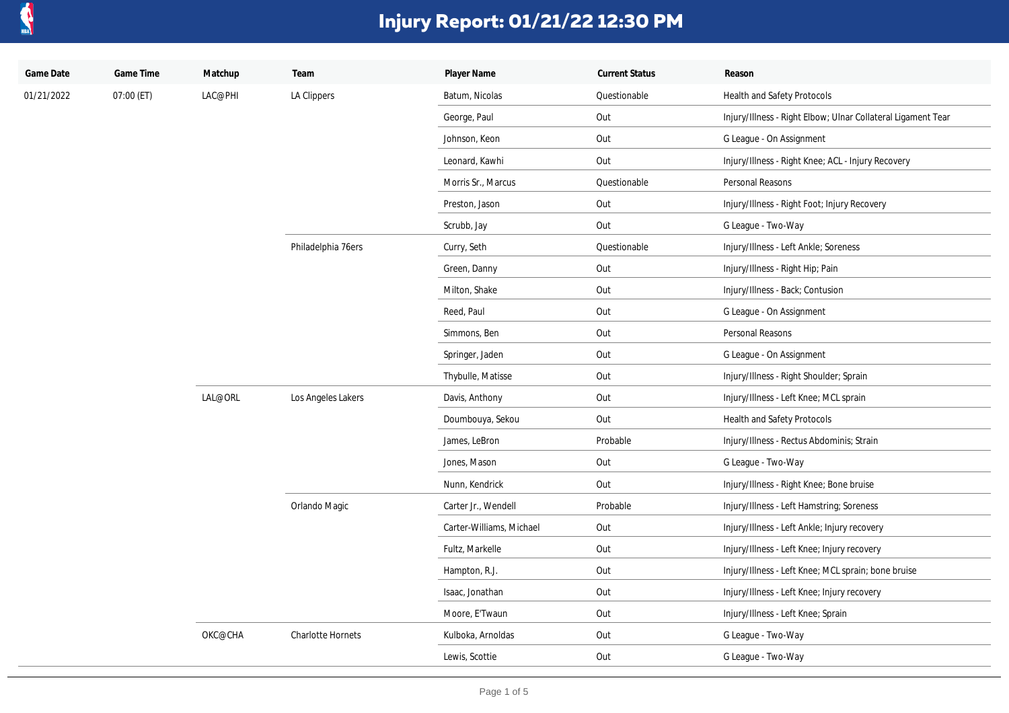

| Game Date  | Game Time  | Matchup | Team               | Player Name              | <b>Current Status</b> | Reason                                                       |
|------------|------------|---------|--------------------|--------------------------|-----------------------|--------------------------------------------------------------|
| 01/21/2022 | 07:00 (ET) | LAC@PHI | LA Clippers        | Batum, Nicolas           | Questionable          | Health and Safety Protocols                                  |
|            |            |         |                    | George, Paul             | Out                   | Injury/Illness - Right Elbow; Ulnar Collateral Ligament Tear |
|            |            |         |                    | Johnson, Keon            | Out                   | G League - On Assignment                                     |
|            |            |         |                    | Leonard, Kawhi           | Out                   | Injury/Illness - Right Knee; ACL - Injury Recovery           |
|            |            |         |                    | Morris Sr., Marcus       | Questionable          | Personal Reasons                                             |
|            |            |         |                    | Preston, Jason           | Out                   | Injury/Illness - Right Foot; Injury Recovery                 |
|            |            |         |                    | Scrubb, Jay              | Out                   | G League - Two-Way                                           |
|            |            |         | Philadelphia 76ers | Curry, Seth              | Questionable          | Injury/Illness - Left Ankle; Soreness                        |
|            |            |         |                    | Green, Danny             | Out                   | Injury/Illness - Right Hip; Pain                             |
|            |            |         |                    | Milton, Shake            | Out                   | Injury/Illness - Back; Contusion                             |
|            |            |         |                    | Reed, Paul               | Out                   | G League - On Assignment                                     |
|            |            |         |                    | Simmons, Ben             | Out                   | Personal Reasons                                             |
|            |            |         |                    | Springer, Jaden          | Out                   | G League - On Assignment                                     |
|            |            |         |                    | Thybulle, Matisse        | Out                   | Injury/Illness - Right Shoulder; Sprain                      |
|            |            | LAL@ORL | Los Angeles Lakers | Davis, Anthony           | Out                   | Injury/Illness - Left Knee; MCL sprain                       |
|            |            |         |                    | Doumbouya, Sekou         | Out                   | Health and Safety Protocols                                  |
|            |            |         |                    | James, LeBron            | Probable              | Injury/Illness - Rectus Abdominis; Strain                    |
|            |            |         |                    | Jones, Mason             | Out                   | G League - Two-Way                                           |
|            |            |         |                    | Nunn, Kendrick           | Out                   | Injury/Illness - Right Knee; Bone bruise                     |
|            |            |         | Orlando Magic      | Carter Jr., Wendell      | Probable              | Injury/Illness - Left Hamstring; Soreness                    |
|            |            |         |                    | Carter-Williams, Michael | Out                   | Injury/Illness - Left Ankle; Injury recovery                 |
|            |            |         |                    | Fultz, Markelle          | Out                   | Injury/Illness - Left Knee; Injury recovery                  |
|            |            |         |                    | Hampton, R.J.            | Out                   | Injury/Illness - Left Knee; MCL sprain; bone bruise          |
|            |            |         |                    | Isaac, Jonathan          | Out                   | Injury/Illness - Left Knee; Injury recovery                  |
|            |            |         |                    | Moore, E'Twaun           | Out                   | Injury/Illness - Left Knee; Sprain                           |
|            |            | OKC@CHA | Charlotte Hornets  | Kulboka, Arnoldas        | Out                   | G League - Two-Way                                           |
|            |            |         |                    | Lewis, Scottie           | Out                   | G League - Two-Way                                           |
|            |            |         |                    |                          |                       |                                                              |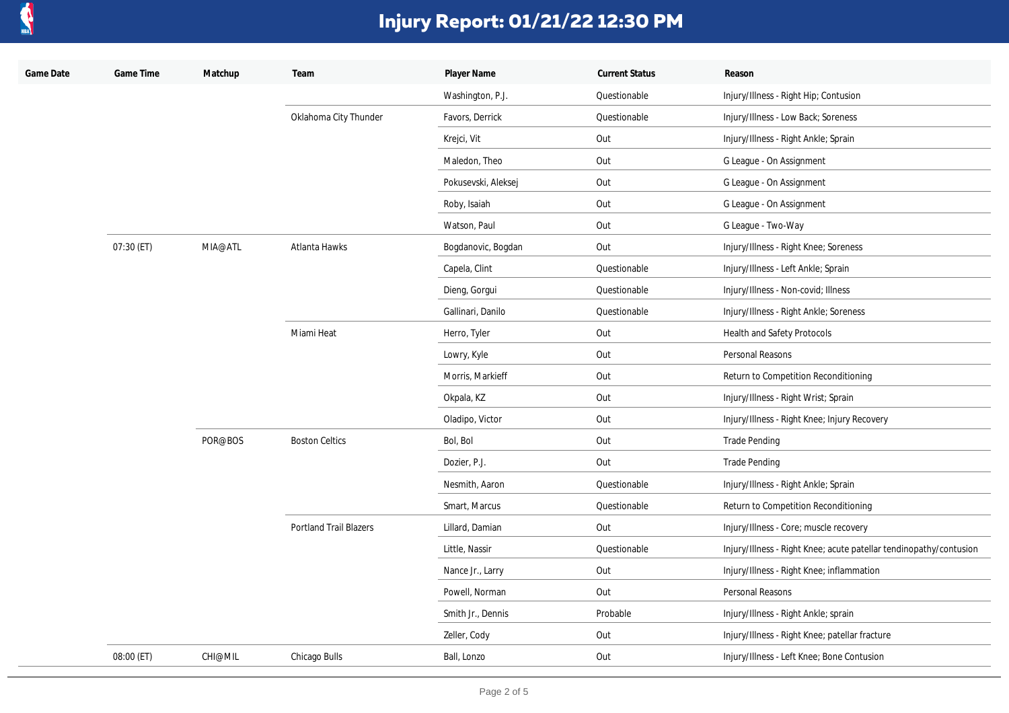

| Game Date | Game Time  | Matchup | Team                   | Player Name         | <b>Current Status</b> | Reason                                                             |
|-----------|------------|---------|------------------------|---------------------|-----------------------|--------------------------------------------------------------------|
|           |            |         |                        | Washington, P.J.    | Questionable          | Injury/Illness - Right Hip; Contusion                              |
|           |            |         | Oklahoma City Thunder  | Favors, Derrick     | Questionable          | Injury/Illness - Low Back; Soreness                                |
|           |            |         |                        | Krejci, Vit         | Out                   | Injury/Illness - Right Ankle; Sprain                               |
|           |            |         |                        | Maledon, Theo       | Out                   | G League - On Assignment                                           |
|           |            |         |                        | Pokusevski, Aleksej | Out                   | G League - On Assignment                                           |
|           |            |         |                        | Roby, Isaiah        | Out                   | G League - On Assignment                                           |
|           |            |         |                        | Watson, Paul        | Out                   | G League - Two-Way                                                 |
|           | 07:30 (ET) | MIA@ATL | Atlanta Hawks          | Bogdanovic, Bogdan  | Out                   | Injury/Illness - Right Knee; Soreness                              |
|           |            |         |                        | Capela, Clint       | Questionable          | Injury/Illness - Left Ankle; Sprain                                |
|           |            |         |                        | Dieng, Gorgui       | Questionable          | Injury/Illness - Non-covid; Illness                                |
|           |            |         |                        | Gallinari, Danilo   | Questionable          | Injury/Illness - Right Ankle; Soreness                             |
|           |            |         | Miami Heat             | Herro, Tyler        | Out                   | Health and Safety Protocols                                        |
|           |            |         |                        | Lowry, Kyle         | Out                   | Personal Reasons                                                   |
|           |            |         |                        | Morris, Markieff    | Out                   | Return to Competition Reconditioning                               |
|           |            |         |                        | Okpala, KZ          | Out                   | Injury/Illness - Right Wrist; Sprain                               |
|           |            |         |                        | Oladipo, Victor     | Out                   | Injury/Illness - Right Knee; Injury Recovery                       |
|           |            | POR@BOS | <b>Boston Celtics</b>  | Bol, Bol            | Out                   | <b>Trade Pending</b>                                               |
|           |            |         |                        | Dozier, P.J.        | Out                   | <b>Trade Pending</b>                                               |
|           |            |         |                        | Nesmith, Aaron      | Questionable          | Injury/Illness - Right Ankle; Sprain                               |
|           |            |         |                        | Smart, Marcus       | Questionable          | Return to Competition Reconditioning                               |
|           |            |         | Portland Trail Blazers | Lillard, Damian     | Out                   | Injury/Illness - Core; muscle recovery                             |
|           |            |         |                        | Little, Nassir      | Questionable          | Injury/Illness - Right Knee; acute patellar tendinopathy/contusion |
|           |            |         |                        | Nance Jr., Larry    | Out                   | Injury/Illness - Right Knee; inflammation                          |
|           |            |         |                        | Powell, Norman      | Out                   | Personal Reasons                                                   |
|           |            |         |                        | Smith Jr., Dennis   | Probable              | Injury/Illness - Right Ankle; sprain                               |
|           |            |         |                        | Zeller, Cody        | Out                   | Injury/Illness - Right Knee; patellar fracture                     |
|           | 08:00 (ET) | CHI@MIL | Chicago Bulls          | Ball, Lonzo         | Out                   | Injury/Illness - Left Knee; Bone Contusion                         |
|           |            |         |                        |                     |                       |                                                                    |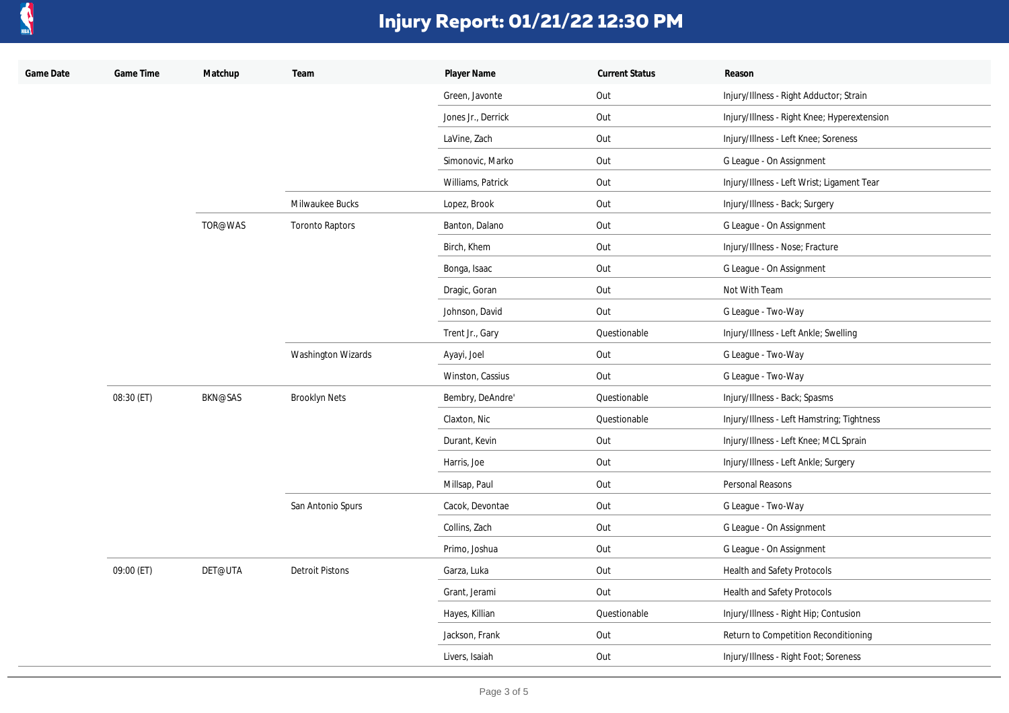

| Game Date | Game Time  | Matchup        | Team                      | Player Name        | <b>Current Status</b> | Reason                                      |
|-----------|------------|----------------|---------------------------|--------------------|-----------------------|---------------------------------------------|
|           |            |                |                           | Green, Javonte     | Out                   | Injury/Illness - Right Adductor; Strain     |
|           |            |                |                           | Jones Jr., Derrick | Out                   | Injury/Illness - Right Knee; Hyperextension |
|           |            |                |                           | LaVine, Zach       | Out                   | Injury/Illness - Left Knee; Soreness        |
|           |            |                |                           | Simonovic, Marko   | Out                   | G League - On Assignment                    |
|           |            |                |                           | Williams, Patrick  | Out                   | Injury/Illness - Left Wrist; Ligament Tear  |
|           |            |                | Milwaukee Bucks           | Lopez, Brook       | Out                   | Injury/Illness - Back; Surgery              |
|           |            | TOR@WAS        | <b>Toronto Raptors</b>    | Banton, Dalano     | Out                   | G League - On Assignment                    |
|           |            |                |                           | Birch, Khem        | Out                   | Injury/Illness - Nose; Fracture             |
|           |            |                |                           | Bonga, Isaac       | Out                   | G League - On Assignment                    |
|           |            |                |                           | Dragic, Goran      | Out                   | Not With Team                               |
|           |            |                |                           | Johnson, David     | Out                   | G League - Two-Way                          |
|           |            |                |                           | Trent Jr., Gary    | Questionable          | Injury/Illness - Left Ankle; Swelling       |
|           |            |                | <b>Washington Wizards</b> | Ayayi, Joel        | Out                   | G League - Two-Way                          |
|           |            |                |                           | Winston, Cassius   | Out                   | G League - Two-Way                          |
|           | 08:30 (ET) | <b>BKN@SAS</b> | <b>Brooklyn Nets</b>      | Bembry, DeAndre'   | Questionable          | Injury/Illness - Back; Spasms               |
|           |            |                |                           | Claxton, Nic       | Questionable          | Injury/Illness - Left Hamstring; Tightness  |
|           |            |                |                           | Durant, Kevin      | Out                   | Injury/Illness - Left Knee; MCL Sprain      |
|           |            |                |                           | Harris, Joe        | Out                   | Injury/Illness - Left Ankle; Surgery        |
|           |            |                |                           | Millsap, Paul      | Out                   | Personal Reasons                            |
|           |            |                | San Antonio Spurs         | Cacok, Devontae    | Out                   | G League - Two-Way                          |
|           |            |                |                           | Collins, Zach      | Out                   | G League - On Assignment                    |
|           |            |                |                           | Primo, Joshua      | Out                   | G League - On Assignment                    |
|           | 09:00 (ET) | DET@UTA        | <b>Detroit Pistons</b>    | Garza, Luka        | Out                   | Health and Safety Protocols                 |
|           |            |                |                           | Grant, Jerami      | Out                   | Health and Safety Protocols                 |
|           |            |                |                           | Hayes, Killian     | Questionable          | Injury/Illness - Right Hip; Contusion       |
|           |            |                |                           | Jackson, Frank     | Out                   | Return to Competition Reconditioning        |
|           |            |                |                           | Livers, Isaiah     | Out                   | Injury/Illness - Right Foot; Soreness       |
|           |            |                |                           |                    |                       |                                             |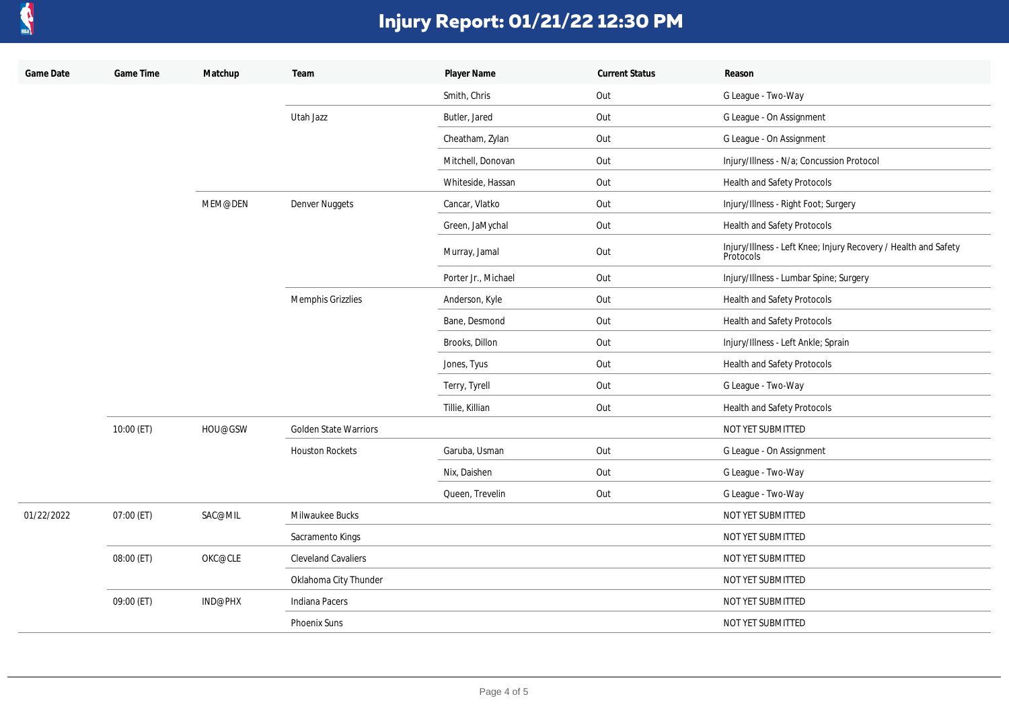

| Game Date  | Game Time  | Matchup | Team                         | Player Name         | <b>Current Status</b> | Reason                                                                       |
|------------|------------|---------|------------------------------|---------------------|-----------------------|------------------------------------------------------------------------------|
|            |            |         |                              | Smith, Chris        | Out                   | G League - Two-Way                                                           |
|            |            |         | Utah Jazz                    | Butler, Jared       | Out                   | G League - On Assignment                                                     |
|            |            |         |                              | Cheatham, Zylan     | Out                   | G League - On Assignment                                                     |
|            |            |         |                              | Mitchell, Donovan   | Out                   | Injury/Illness - N/a; Concussion Protocol                                    |
|            |            |         |                              | Whiteside, Hassan   | Out                   | Health and Safety Protocols                                                  |
|            |            | MEM@DEN | Denver Nuggets               | Cancar, Vlatko      | Out                   | Injury/Illness - Right Foot; Surgery                                         |
|            |            |         |                              | Green, JaMychal     | Out                   | Health and Safety Protocols                                                  |
|            |            |         |                              | Murray, Jamal       | Out                   | Injury/Illness - Left Knee; Injury Recovery / Health and Safety<br>Protocols |
|            |            |         |                              | Porter Jr., Michael | Out                   | Injury/Illness - Lumbar Spine; Surgery                                       |
|            |            |         | Memphis Grizzlies            | Anderson, Kyle      | Out                   | Health and Safety Protocols                                                  |
|            |            |         |                              | Bane, Desmond       | Out                   | Health and Safety Protocols                                                  |
|            |            |         |                              | Brooks, Dillon      | Out                   | Injury/Illness - Left Ankle; Sprain                                          |
|            |            |         |                              | Jones, Tyus         | Out                   | Health and Safety Protocols                                                  |
|            |            |         |                              | Terry, Tyrell       | Out                   | G League - Two-Way                                                           |
|            |            |         |                              | Tillie, Killian     | Out                   | Health and Safety Protocols                                                  |
|            | 10:00 (ET) | HOU@GSW | <b>Golden State Warriors</b> |                     |                       | NOT YET SUBMITTED                                                            |
|            |            |         | <b>Houston Rockets</b>       | Garuba, Usman       | Out                   | G League - On Assignment                                                     |
|            |            |         |                              | Nix, Daishen        | Out                   | G League - Two-Way                                                           |
|            |            |         |                              | Queen, Trevelin     | Out                   | G League - Two-Way                                                           |
| 01/22/2022 | 07:00 (ET) | SAC@MIL | Milwaukee Bucks              |                     |                       | NOT YET SUBMITTED                                                            |
|            |            |         | Sacramento Kings             |                     |                       | NOT YET SUBMITTED                                                            |
|            | 08:00 (ET) | OKC@CLE | <b>Cleveland Cavaliers</b>   |                     |                       | NOT YET SUBMITTED                                                            |
|            |            |         | Oklahoma City Thunder        |                     |                       | NOT YET SUBMITTED                                                            |
|            | 09:00 (ET) | IND@PHX | Indiana Pacers               |                     |                       | NOT YET SUBMITTED                                                            |
|            |            |         | Phoenix Suns                 |                     |                       | NOT YET SUBMITTED                                                            |